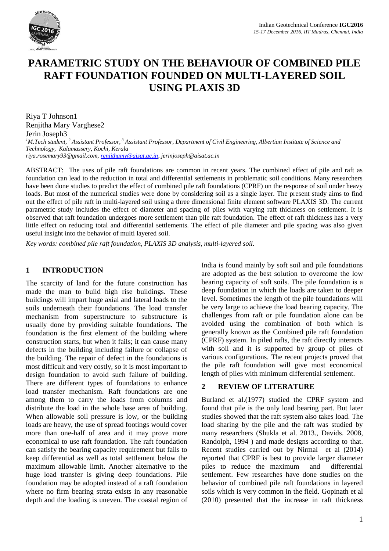

# **PARAMETRIC STUDY ON THE BEHAVIOUR OF COMBINED PILE RAFT FOUNDATION FOUNDED ON MULTI-LAYERED SOIL USING PLAXIS 3D**

Riya T Johnson1 Renjitha Mary Varghese2 Jerin Joseph3 *<sup>1</sup>M.Tech student, <sup>2</sup> Assistant Professor, <sup>3</sup> Assistant Professor, Department of Civil Engineering, Albertian Institute of Science and Technology, Kalamassery, Kochi, Kerala riya.rosemary93@gmail.com, renjithamv@aisat.ac.in, jerinjoseph@aisat.ac.in*

ABSTRACT: The uses of pile raft foundations are common in recent years. The combined effect of pile and raft as foundation can lead to the reduction in total and differential settlements in problematic soil conditions. Many researchers have been done studies to predict the effect of combined pile raft foundations (CPRF) on the response of soil under heavy loads. But most of the numerical studies were done by considering soil as a single layer. The present study aims to find out the effect of pile raft in multi-layered soil using a three dimensional finite element software PLAXIS 3D. The current parametric study includes the effect of diameter and spacing of piles with varying raft thickness on settlement. It is observed that raft foundation undergoes more settlement than pile raft foundation. The effect of raft thickness has a very little effect on reducing total and differential settlements. The effect of pile diameter and pile spacing was also given useful insight into the behavior of multi layered soil.

*Key words: combined pile raft foundation, PLAXIS 3D analysis, multi-layered soil.*

#### **1 INTRODUCTION**

The scarcity of land for the future construction has made the man to build high rise buildings. These buildings will impart huge axial and lateral loads to the soils underneath their foundations. The load transfer mechanism from superstructure to substructure is usually done by providing suitable foundations. The foundation is the first element of the building where construction starts, but when it fails; it can cause many defects in the building including failure or collapse of the building. The repair of defect in the foundations is most difficult and very costly, so it is most important to design foundation to avoid such failure of building. There are different types of foundations to enhance load transfer mechanism. Raft foundations are one among them to carry the loads from columns and distribute the load in the whole base area of building. When allowable soil pressure is low, or the building loads are heavy, the use of spread footings would cover more than one-half of area and it may prove more economical to use raft foundation. The raft foundation can satisfy the bearing capacity requirement but fails to keep differential as well as total settlement below the maximum allowable limit. Another alternative to the huge load transfer is giving deep foundations. Pile foundation may be adopted instead of a raft foundation where no firm bearing strata exists in any reasonable depth and the loading is uneven. The coastal region of India is found mainly by soft soil and pile foundations are adopted as the best solution to overcome the low bearing capacity of soft soils. The pile foundation is a deep foundation in which the loads are taken to deeper level. Sometimes the length of the pile foundations will be very large to achieve the load bearing capacity. The challenges from raft or pile foundation alone can be avoided using the combination of both which is generally known as the Combined pile raft foundation (CPRF) system. In piled rafts, the raft directly interacts with soil and it is supported by group of piles of various configurations. The recent projects proved that the pile raft foundation will give most economical length of piles with minimum differential settlement.

# **2 REVIEW OF LITERATURE**

Burland et al.(1977) studied the CPRF system and found that pile is the only load bearing part. But later studies showed that the raft system also takes load. The load sharing by the pile and the raft was studied by many researchers (Shukla et al. 2013., Davids. 2008, Randolph, 1994 ) and made designs according to that. Recent studies carried out by Nirmal et al (2014) reported that CPRF is best to provide larger diameter piles to reduce the maximum and differential settlement. Few researches have done studies on the behavior of combined pile raft foundations in layered soils which is very common in the field. Gopinath et al (2010) presented that the increase in raft thickness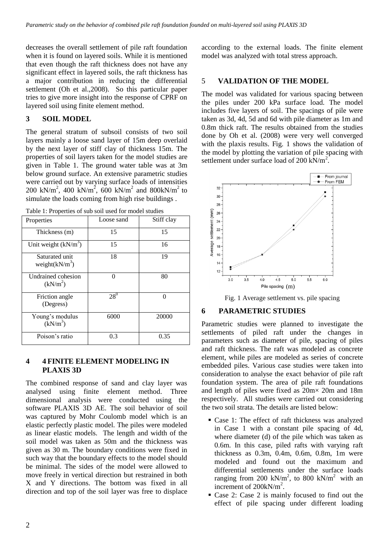decreases the overall settlement of pile raft foundation when it is found on layered soils. While it is mentioned that even though the raft thickness does not have any significant effect in layered soils, the raft thickness has a major contribution in reducing the differential settlement (Oh et al.,2008). So this particular paper tries to give more insight into the response of CPRF on layered soil using finite element method.

# **3 SOIL MODEL**

The general stratum of subsoil consists of two soil layers mainly a loose sand layer of 15m deep overlaid by the next layer of stiff clay of thickness 15m. The properties of soil layers taken for the model studies are given in Table 1. The ground water table was at 3m below ground surface. An extensive parametric studies were carried out by varying surface loads of intensities 200 kN/m<sup>2</sup>, 400 kN/m<sup>2</sup>, 600 kN/m<sup>2</sup> and 800kN/m<sup>2</sup> to simulate the loads coming from high rise buildings .

| Properties                                 | Loose sand | Stiff clay |
|--------------------------------------------|------------|------------|
| Thickness (m)                              | 15         | 15         |
| Unit weight $(kN/m^3)$                     | 15         | 16         |
| Saturated unit<br>weight $(kN/m^3)$        | 18         | 19         |
| Undrained cohesion<br>(kN/m <sup>2</sup> ) | $\Omega$   | 80         |
| Friction angle<br>(Degress)                | $28^{0}$   | ∩          |
| Young's modulus<br>$(kN/m^3)$              | 6000       | 20000      |
| Poison's ratio                             | 0.3        | 0.35       |

Table 1: Properties of sub soil used for model studies

# **4 4 FINITE ELEMENT MODELING IN PLAXIS 3D**

The combined response of sand and clay layer was analysed using finite element method. Three dimensional analysis were conducted using the software PLAXIS 3D AE. The soil behavior of soil was captured by Mohr Coulomb model which is an elastic perfectly plastic model. The piles were modeled as linear elastic models. The length and width of the soil model was taken as 50m and the thickness was given as 30 m. The boundary conditions were fixed in such way that the boundary effects to the model should be minimal. The sides of the model were allowed to move freely in vertical direction but restrained in both X and Y directions. The bottom was fixed in all direction and top of the soil layer was free to displace

according to the external loads. The finite element model was analyzed with total stress approach.

# 5 **VALIDATION OF THE MODEL**

The model was validated for various spacing between the piles under 200 kPa surface load. The model includes five layers of soil. The spacings of pile were taken as 3d, 4d, 5d and 6d with pile diameter as 1m and 0.8m thick raft. The results obtained from the studies done by Oh et al. (2008) were very well converged with the plaxis results. Fig. 1 shows the validation of the model by plotting the variation of pile spacing with settlement under surface load of 200 kN/m<sup>2</sup>.



Fig. 1 Average settlement vs. pile spacing

## **6 PARAMETRIC STUDIES**

Parametric studies were planned to investigate the settlements of piled raft under the changes in parameters such as diameter of pile, spacing of piles and raft thickness. The raft was modeled as concrete element, while piles are modeled as series of concrete embedded piles. Various case studies were taken into consideration to analyse the exact behavior of pile raft foundation system. The area of pile raft foundations and length of piles were fixed as 20m× 20m and 18m respectively. All studies were carried out considering the two soil strata. The details are listed below:

- Case 1: The effect of raft thickness was analyzed in Case 1 with a constant pile spacing of 4d, where diameter (d) of the pile which was taken as 0.6m. In this case, piled rafts with varying raft thickness as  $0.3$ m,  $0.4$ m,  $0.6$ m,  $0.8$ m, 1m were modeled and found out the maximum and differential settlements under the surface loads ranging from 200 kN/m<sup>2</sup>, to 800 kN/m<sup>2</sup> with an increment of 200kN/m<sup>2</sup>.
- Case 2: Case 2 is mainly focused to find out the effect of pile spacing under different loading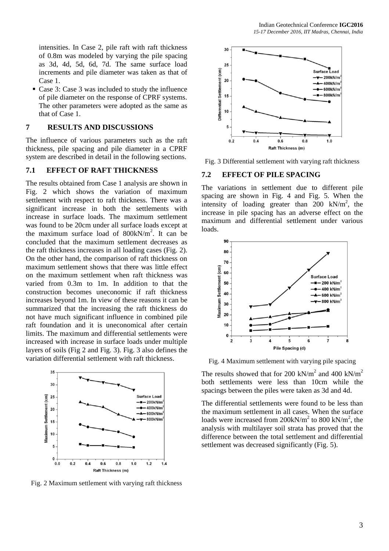intensities. In Case 2, pile raft with raft thickness of 0.8m was modeled by varying the pile spacing as 3d, 4d, 5d, 6d, 7d. The same surface load increments and pile diameter was taken as that of Case 1.

 Case 3: Case 3 was included to study the influence of pile diameter on the response of CPRF systems. The other parameters were adopted as the same as that of Case 1.

#### **7 RESULTS AND DISCUSSIONS**

The influence of various parameters such as the raft thickness, pile spacing and pile diameter in a CPRF system are described in detail in the following sections.

# **7.1 EFFECT OF RAFT THICKNESS**

The results obtained from Case 1 analysis are shown in Fig. 2 which shows the variation of maximum settlement with respect to raft thickness. There was a significant increase in both the settlements with increase in surface loads. The maximum settlement was found to be 20cm under all surface loads except at the maximum surface load of  $800kN/m^2$ . It can be concluded that the maximum settlement decreases as the raft thickness increases in all loading cases (Fig. 2). On the other hand, the comparison of raft thickness on maximum settlement shows that there was little effect on the maximum settlement when raft thickness was varied from 0.3m to 1m. In addition to that the construction becomes uneconomic if raft thickness increases beyond 1m. In view of these reasons it can be summarized that the increasing the raft thickness do not have much significant influence in combined pile raft foundation and it is uneconomical after certain limits. The maximum and differential settlements were increased with increase in surface loads under multiple layers of soils (Fig 2 and Fig. 3). Fig. 3 also defines the variation differential settlement with raft thickness.



Fig. 2 Maximum settlement with varying raft thickness



Fig. 3 Differential settlement with varying raft thickness

#### **7.2 EFFECT OF PILE SPACING**

The variations in settlement due to different pile spacing are shown in Fig. 4 and Fig. 5. When the intensity of loading greater than  $200 \text{ kN/m}^2$ , the increase in pile spacing has an adverse effect on the maximum and differential settlement under various loads.



Fig. 4 Maximum settlement with varying pile spacing

The results showed that for 200 kN/ $m^2$  and 400 kN/ $m^2$ both settlements were less than 10cm while the spacings between the piles were taken as 3d and 4d.

The differential settlements were found to be less than the maximum settlement in all cases. When the surface loads were increased from  $200kN/m^2$  to  $800 kN/m^2$ , the analysis with multilayer soil strata has proved that the difference between the total settlement and differential settlement was decreased significantly (Fig. 5).